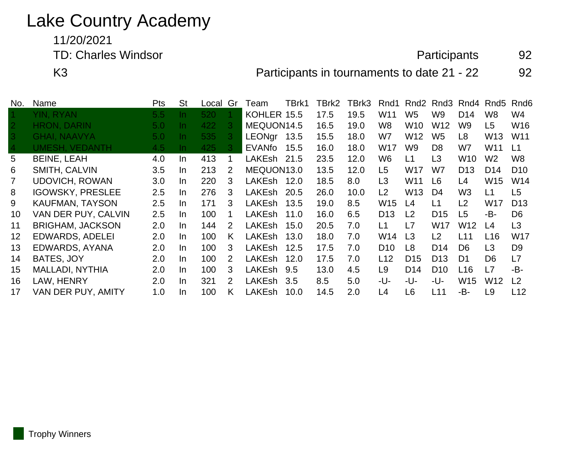# Lake Country Academy

11/20/2021

TD: Charles Windsor **Participants** 92

K3 **Participants in tournaments to date 21 - 22** 92

| No.             | Name                    | <b>Pts</b>       | <b>St</b> | Local | Gr | Team          | TBrk1 | TBrk2 | TBrk3 | Rnd1            | Rnd2            | Rnd3            |                 | Rnd4 Rnd5       | Rnd6            |
|-----------------|-------------------------|------------------|-----------|-------|----|---------------|-------|-------|-------|-----------------|-----------------|-----------------|-----------------|-----------------|-----------------|
|                 | YIN, RYAN               | 5.5 <sub>1</sub> | In.       | 520   | -1 | KOHLER 15.5   |       | 17.5  | 19.5  | W <sub>11</sub> | W <sub>5</sub>  | W <sub>9</sub>  | D <sub>14</sub> | W <sub>8</sub>  | W <sub>4</sub>  |
| $\vert 2 \vert$ | <b>HRON, DARIN</b>      | 5.0              | -In       | 422   | -3 | MEQUON14.5    |       | 16.5  | 19.0  | W <sub>8</sub>  | W <sub>10</sub> | W <sub>12</sub> | W <sub>9</sub>  | L5              | W16             |
| $ 3\rangle$     | <b>GHAI, NAAVYA</b>     | 5.0 <sub>1</sub> | -In       | 535   | -3 | LEONgr 13.5   |       | 15.5  | 18.0  | W7              | W <sub>12</sub> | W <sub>5</sub>  | L8              | W13             | W <sub>11</sub> |
| $\vert 4 \vert$ | UMESH, VEDANTH          | 4.5              | -In       | 425   | -3 | EVANfo        | 15.5  | 16.0  | 18.0  | W <sub>17</sub> | W9              | D <sub>8</sub>  | W7              | W11             | L1              |
| 5               | <b>BEINE, LEAH</b>      | 4.0              | In.       | 413   |    | LAKEsh 21.5   |       | 23.5  | 12.0  | W <sub>6</sub>  | L1              | L <sub>3</sub>  | W10             | W <sub>2</sub>  | W8              |
| 6               | SMITH, CALVIN           | 3.5              | In.       | 213   | 2  | MEQUON13.0    |       | 13.5  | 12.0  | L5              | <b>W17</b>      | W7              | D <sub>13</sub> | D <sub>14</sub> | D <sub>10</sub> |
|                 | <b>UDOVICH, ROWAN</b>   | 3.0              | In.       | 220   | 3  | LAKEsh 12.0   |       | 18.5  | 8.0   | L <sub>3</sub>  | W <sub>11</sub> | L6              | L4              | W15             | W14             |
| 8               | <b>IGOWSKY, PRESLEE</b> | 2.5              | In.       | 276   | 3  | LAKEsh        | 20.5  | 26.0  | 10.0  | L <sub>2</sub>  | W <sub>13</sub> | D4              | W <sub>3</sub>  | L1              | L5              |
| 9               | <b>KAUFMAN, TAYSON</b>  | 2.5              | In.       | 171   | 3  | LAKEsh        | 13.5  | 19.0  | 8.5   | W <sub>15</sub> | L4              | L1              | L2              | W17             | D <sub>13</sub> |
| 10              | VAN DER PUY, CALVIN     | 2.5              | In.       | 100   |    | LAKEsh        | 11.0  | 16.0  | 6.5   | D <sub>13</sub> | L2              | D <sub>15</sub> | L <sub>5</sub>  | -B-             | D <sub>6</sub>  |
| 11              | <b>BRIGHAM, JACKSON</b> | 2.0              | $\ln$     | 144   | 2  | LAKEsh        | 15.0  | 20.5  | 7.0   | L1              | L7              | <b>W17</b>      | W <sub>12</sub> | L4              | L3              |
| 12              | <b>EDWARDS, ADELEI</b>  | 2.0              | In.       | 100   | K. | <b>LAKEsh</b> | 13.0  | 18.0  | 7.0   | W14             | L <sub>3</sub>  | L2              | L11             | L <sub>16</sub> | <b>W17</b>      |
| 13              | EDWARDS, AYANA          | 2.0              | In.       | 100   | 3  | LAKEsh 12.5   |       | 17.5  | 7.0   | D <sub>10</sub> | L8              | D <sub>14</sub> | D <sub>6</sub>  | L <sub>3</sub>  | D <sub>9</sub>  |
| 14              | BATES, JOY              | 2.0              | In.       | 100   | 2  | <b>LAKEsh</b> | 12.0  | 17.5  | 7.0   | L12             | D <sub>15</sub> | D <sub>13</sub> | D <sub>1</sub>  | D <sub>6</sub>  | L7              |
| 15              | <b>MALLADI, NYTHIA</b>  | 2.0              | In.       | 100   | 3  | LAKEsh        | 9.5   | 13.0  | 4.5   | L9              | D <sub>14</sub> | D <sub>10</sub> | L16             | L7              | -B-             |
| 16              | LAW, HENRY              | 2.0              | In.       | 321   | 2  | LAKEsh        | 3.5   | 8.5   | 5.0   | -U-             | -U-             | -U-             | W <sub>15</sub> | W12             | L <sub>2</sub>  |
| 17              | VAN DER PUY, AMITY      | 1.0              | In.       | 100   | K  | LAKEsh        | 10.0  | 14.5  | 2.0   | L4              | L6              | L11             | -B-             | L9              | L12             |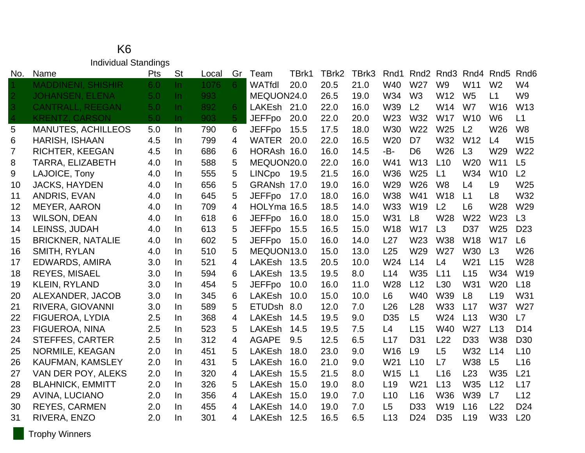#### K6 Individual Standings

| No.            | Name                      | Pts              | <b>St</b> | Local | Gr             | Team          | TBrk1 | TBrk2 | TBrk3 | Rnd1            | Rnd <sub>2</sub> | Rnd3            | Rnd4            | Rnd <sub>5</sub> | Rnd <sub>6</sub> |
|----------------|---------------------------|------------------|-----------|-------|----------------|---------------|-------|-------|-------|-----------------|------------------|-----------------|-----------------|------------------|------------------|
|                | <b>MADDINENI, SHISHIR</b> | 6.0              | In.       | 1076  | 6 <sup>1</sup> | WATfdl        | 20.0  | 20.5  | 21.0  | W40             | W27              | W <sub>9</sub>  | W11             | W <sub>2</sub>   | W4               |
| $\overline{2}$ | <b>JOHANSEN, ELENA</b>    | 5.0 <sub>1</sub> | $\ln$     | 993   |                | MEQUON24.0    |       | 26.5  | 19.0  | W34             | W <sub>3</sub>   | W12             | W <sub>5</sub>  | L1               | W <sub>9</sub>   |
| 3              | <b>CANTRALL, REEGAN</b>   | 5.0              | $\ln$     | 892   | 6              | LAKEsh        | 21.0  | 22.0  | 16.0  | W39             | L2               | W14             | W7              | W16              | W13              |
| $\overline{4}$ | <b>KRENTZ, CARSON</b>     | 5.0              | $\ln$     | 903   | 5 <sup>1</sup> | <b>JEFFpo</b> | 20.0  | 22.0  | 20.0  | W23             | W32              | <b>W17</b>      | <b>W10</b>      | W <sub>6</sub>   | L1               |
| 5              | <b>MANUTES, ACHILLEOS</b> | 5.0              | In        | 790   | 6              | <b>JEFFpo</b> | 15.5  | 17.5  | 18.0  | W30             | W22              | W25             | L2              | W26              | W <sub>8</sub>   |
| 6              | <b>HARISH, ISHAAN</b>     | 4.5              | In.       | 799   | 4              | <b>WATER</b>  | 20.0  | 22.0  | 16.5  | W <sub>20</sub> | D7               | W32             | W <sub>12</sub> | L4               | W15              |
| 7              | <b>RICHTER, KEEGAN</b>    | 4.5              | In        | 686   | 6              | HORAsh 16.0   |       | 16.0  | 14.5  | -B-             | D <sub>6</sub>   | W26             | L3              | W29              | W22              |
| 8              | <b>TARRA, ELIZABETH</b>   | 4.0              | In        | 588   | 5              | MEQUON20.0    |       | 22.0  | 16.0  | W41             | W <sub>13</sub>  | L10             | W <sub>20</sub> | W <sub>11</sub>  | L5               |
| 9              | LAJOICE, Tony             | 4.0              | In        | 555   | 5              | <b>LINCpo</b> | 19.5  | 21.5  | 16.0  | W36             | W25              | L1              | W34             | W <sub>10</sub>  | L <sub>2</sub>   |
| 10             | <b>JACKS, HAYDEN</b>      | 4.0              | In        | 656   | 5              | GRANsh 17.0   |       | 19.0  | 16.0  | W29             | W26              | W <sub>8</sub>  | L4              | L <sub>9</sub>   | W <sub>25</sub>  |
| 11             | ANDRIS, EVAN              | 4.0              | In        | 645   | 5              | <b>JEFFpo</b> | 17.0  | 18.0  | 16.0  | W38             | W41              | W18             | L1              | L <sub>8</sub>   | W32              |
| 12             | <b>MEYER, AARON</b>       | 4.0              | In.       | 709   | 4              | HOLYma 16.5   |       | 18.5  | 14.0  | <b>W33</b>      | W <sub>19</sub>  | L <sub>2</sub>  | L <sub>6</sub>  | W <sub>28</sub>  | W <sub>29</sub>  |
| 13             | <b>WILSON, DEAN</b>       | 4.0              | In        | 618   | 6              | <b>JEFFpo</b> | 16.0  | 18.0  | 15.0  | W31             | L <sub>8</sub>   | W28             | W22             | W23              | L3               |
| 14             | LEINSS, JUDAH             | 4.0              | In.       | 613   | 5              | <b>JEFFpo</b> | 15.5  | 16.5  | 15.0  | <b>W18</b>      | <b>W17</b>       | L3              | D <sub>37</sub> | W <sub>25</sub>  | D <sub>23</sub>  |
| 15             | <b>BRICKNER, NATALIE</b>  | 4.0              | In        | 602   | 5              | <b>JEFFpo</b> | 15.0  | 16.0  | 14.0  | L27             | W23              | <b>W38</b>      | <b>W18</b>      | <b>W17</b>       | L <sub>6</sub>   |
| 16             | SMITH, RYLAN              | 4.0              | In        | 510   | 5              | MEQUON13.0    |       | 15.0  | 13.0  | L25             | W29              | W27             | <b>W30</b>      | L3               | W26              |
| 17             | EDWARDS, AMIRA            | 3.0              | In        | 521   | 4              | LAKEsh 13.5   |       | 20.5  | 10.0  | W24             | L14              | L4              | W21             | L15              | W28              |
| 18             | <b>REYES, MISAEL</b>      | 3.0              | In.       | 594   | 6              | <b>LAKEsh</b> | 13.5  | 19.5  | 8.0   | L14             | W35              | L11             | L15             | W34              | W <sub>19</sub>  |
| 19             | <b>KLEIN, RYLAND</b>      | 3.0              | In        | 454   | 5              | <b>JEFFpo</b> | 10.0  | 16.0  | 11.0  | W28             | L12              | L30             | W31             | W20              | L <sub>18</sub>  |
| 20             | ALEXANDER, JACOB          | 3.0              | In.       | 345   | 6              | <b>LAKEsh</b> | 10.0  | 15.0  | 10.0  | L <sub>6</sub>  | W40              | W39             | L8              | L <sub>19</sub>  | W31              |
| 21             | RIVERA, GIOVANNI          | 3.0              | In        | 589   | 5              | <b>ETUDsh</b> | 8.0   | 12.0  | 7.0   | L26             | L28              | <b>W33</b>      | L17             | <b>W37</b>       | W27              |
| 22             | FIGUEROA, LYDIA           | 2.5              | In        | 368   | 4              | <b>LAKEsh</b> | 14.5  | 19.5  | 9.0   | D <sub>35</sub> | L5               | W24             | L13             | W30              | L7               |
| 23             | FIGUEROA, NINA            | 2.5              | In.       | 523   | 5              | <b>LAKEsh</b> | 14.5  | 19.5  | 7.5   | L4              | L15              | W40             | W27             | L13              | D <sub>14</sub>  |
| 24             | <b>STEFFES, CARTER</b>    | 2.5              | In        | 312   | 4              | <b>AGAPE</b>  | 9.5   | 12.5  | 6.5   | L17             | D <sub>31</sub>  | L22             | D <sub>33</sub> | <b>W38</b>       | D <sub>30</sub>  |
| 25             | NORMILE, KEAGAN           | 2.0              | In        | 451   | 5              | <b>LAKEsh</b> | 18.0  | 23.0  | 9.0   | W16             | L <sub>9</sub>   | L <sub>5</sub>  | W32             | L14              | L10              |
| 26             | <b>KAUFMAN, KAMSLEY</b>   | 2.0              | In.       | 431   | 5              | <b>LAKEsh</b> | 16.0  | 21.0  | 9.0   | W <sub>21</sub> | L10              | L7              | <b>W38</b>      | L5               | L16              |
| 27             | VAN DER POY, ALEKS        | 2.0              | In        | 320   | 4              | LAKEsh        | 15.5  | 21.5  | 8.0   | W15             | L1               | L16             | L23             | W35              | L21              |
| 28             | <b>BLAHNICK, EMMITT</b>   | 2.0              | In        | 326   | 5              | <b>LAKEsh</b> | 15.0  | 19.0  | 8.0   | L19             | W <sub>21</sub>  | L13             | W35             | L12              | L17              |
| 29             | <b>AVINA, LUCIANO</b>     | 2.0              | In        | 356   | 4              | <b>LAKEsh</b> | 15.0  | 19.0  | 7.0   | L10             | L16              | W36             | W39             | L7               | L12              |
| 30             | <b>REYES, CARMEN</b>      | 2.0              | In.       | 455   | 4              | <b>LAKEsh</b> | 14.0  | 19.0  | 7.0   | L5              | D <sub>33</sub>  | W <sub>19</sub> | L16             | L22              | D <sub>24</sub>  |
| 31             | RIVERA, ENZO              | 2.0              | In        | 301   | 4              | <b>LAKEsh</b> | 12.5  | 16.5  | 6.5   | L13             | D <sub>24</sub>  | D <sub>35</sub> | L <sub>19</sub> | W33              | L20              |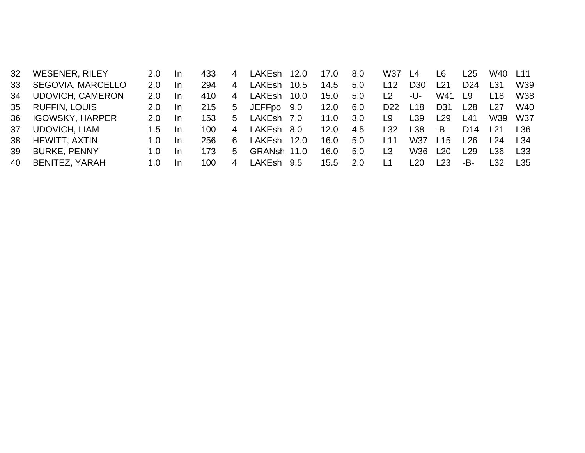| 32 <sup>2</sup> | <b>WESENER, RILEY</b>    | 2.0           | -In | 433  | 4  | LAKEsh        | 12.0 | 17.0 | 8.0 | W37             | L4              | L6              | L25             | W40   | L <sub>11</sub> |
|-----------------|--------------------------|---------------|-----|------|----|---------------|------|------|-----|-----------------|-----------------|-----------------|-----------------|-------|-----------------|
| 33              | <b>SEGOVIA, MARCELLO</b> | $2.0^{\circ}$ | -In | 294  | 4  | <b>LAKEsh</b> | 10.5 | 14.5 | 5.0 | L12             | D <sub>30</sub> | l 21            | D24             | L31   | W39             |
| 34              | <b>UDOVICH, CAMERON</b>  | $2.0^{\circ}$ | -In | 410  | 4  | LAKEsh        | 10.0 | 15.0 | 5.0 | $\overline{2}$  | -U-             | W41             | L9              | L18   | W38             |
| 35              | <b>RUFFIN, LOUIS</b>     | 2.0           | -In | 215  | 5  | JEFFpo 9.0    |      | 12.0 | 6.0 | D <sub>22</sub> | L18             | D <sub>31</sub> | L28             | l 27  | W40             |
| 36              | <b>IGOWSKY, HARPER</b>   | 2.0.          | -In | 153  | 5. | LAKEsh 7.0    |      | 11.0 | 3.0 | L9              | L <sub>39</sub> | L29             | L41             | W39   | W37             |
| 37              | <b>UDOVICH, LIAM</b>     | $1.5^{\circ}$ | -In | 100  | 4  | LAKEsh 8.0    |      | 12.0 | 4.5 | L32             | L38             | -B-             | D <sub>14</sub> | 121   | <b>1.36</b>     |
| 38              | <b>HEWITT, AXTIN</b>     | 1.0           | -In | 256  | 6  | LAKEsh        | 12.0 | 16.0 | 5.0 | L <sub>11</sub> | W37             | L <sub>15</sub> | l 26.           | 124   | <b>1.34</b>     |
| 39              | <b>BURKE, PENNY</b>      | 1.0.          | -In | 173  | 5. | GRANsh 11.0   |      | 16.0 | 5.0 | L3              | W36             | 120             | L29             | L36.  | L33             |
| 40              | <b>BENITEZ, YARAH</b>    | 1.0.          | -In | 100. | 4  | LAKEsh 9.5    |      | 15.5 | 2.0 |                 | l 20.           | 123             | -B-             | l 32. | l 35.           |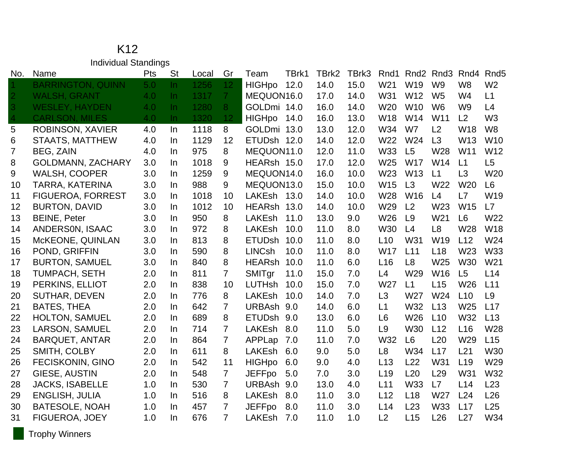#### K12 Individual Standings

| No.            | Name                     | Pts | <b>St</b> | Local | Gr              | TBrk1<br>Team         | TBrk2 | TBrk3 | Rnd1            |                 | Rnd <sub>2</sub> Rnd <sub>3</sub> | Rnd4            | Rnd <sub>5</sub> |
|----------------|--------------------------|-----|-----------|-------|-----------------|-----------------------|-------|-------|-----------------|-----------------|-----------------------------------|-----------------|------------------|
|                | <b>BARRINGTON, QUINN</b> | 5.0 | In.       | 1256  | 12 <sub>1</sub> | <b>HIGHpo</b><br>12.0 | 14.0  | 15.0  | W <sub>21</sub> | W19             | W <sub>9</sub>                    | W <sub>8</sub>  | W <sub>2</sub>   |
| $\overline{2}$ | <b>WALSH, GRANT</b>      | 4.0 | $\ln$     | 1317  | 7 <sup>1</sup>  | MEQUON16.0            | 17.0  | 14.0  | W31             | W12             | W <sub>5</sub>                    | W4              | L1               |
| $\overline{3}$ | <b>WESLEY, HAYDEN</b>    | 4.0 | $\ln$     | 1280  | 8               | GOLDmi 14.0           | 16.0  | 14.0  | W <sub>20</sub> | W <sub>10</sub> | W <sub>6</sub>                    | W <sub>9</sub>  | L4               |
| 4              | <b>CARLSON, MILES</b>    | 4.0 | $\ln$     | 1320  | 12              | <b>HIGHpo</b><br>14.0 | 16.0  | 13.0  | W18             | W14             | W11                               | L2              | W <sub>3</sub>   |
| 5              | ROBINSON, XAVIER         | 4.0 | In        | 1118  | 8               | GOLDmi 13.0           | 13.0  | 12.0  | W34             | W7              | L2                                | W18             | W <sub>8</sub>   |
| 6              | <b>STAATS, MATTHEW</b>   | 4.0 | $\ln$     | 1129  | 12              | ETUDsh 12.0           | 14.0  | 12.0  | W22             | W24             | L3                                | W <sub>13</sub> | W <sub>10</sub>  |
| $\overline{7}$ | <b>BEG, ZAIN</b>         | 4.0 | $\ln$     | 975   | 8               | MEQUON11.0            | 12.0  | 11.0  | W33             | L5              | W28                               | W11             | W12              |
| 8              | <b>GOLDMANN, ZACHARY</b> | 3.0 | In.       | 1018  | 9               | HEARsh 15.0           | 17.0  | 12.0  | W25             | <b>W17</b>      | W14                               | L1              | L5               |
| 9              | <b>WALSH, COOPER</b>     | 3.0 | In.       | 1259  | 9               | MEQUON14.0            | 16.0  | 10.0  | W23             | W13             | L1                                | L3              | W20              |
| 10             | <b>TARRA, KATERINA</b>   | 3.0 | In        | 988   | 9               | MEQUON13.0            | 15.0  | 10.0  | W15             | L3              | W22                               | W20             | L <sub>6</sub>   |
| 11             | <b>FIGUEROA, FORREST</b> | 3.0 | In.       | 1018  | 10              | LAKEsh 13.0           | 14.0  | 10.0  | W28             | W <sub>16</sub> | L4                                | L7              | W19              |
| 12             | <b>BURTON, DAVID</b>     | 3.0 | $\ln$     | 1012  | 10              | HEARsh 13.0           | 14.0  | 10.0  | W29             | L2              | W23                               | W15             | L7               |
| 13             | <b>BEINE, Peter</b>      | 3.0 | In.       | 950   | 8               | LAKEsh<br>11.0        | 13.0  | 9.0   | W26             | L9              | W21                               | L <sub>6</sub>  | W22              |
| 14             | ANDERSON, ISAAC          | 3.0 | In.       | 972   | 8               | LAKEsh<br>10.0        | 11.0  | 8.0   | <b>W30</b>      | L4              | L <sub>8</sub>                    | W28             | W18              |
| 15             | McKEONE, QUINLAN         | 3.0 | In.       | 813   | 8               | <b>ETUDsh</b><br>10.0 | 11.0  | 8.0   | L10             | W31             | W19                               | L12             | W24              |
| 16             | POND, GRIFFIN            | 3.0 | In.       | 590   | 8               | <b>LINCsh</b><br>10.0 | 11.0  | 8.0   | <b>W17</b>      | L11             | L18                               | W23             | W33              |
| 17             | <b>BURTON, SAMUEL</b>    | 3.0 | In.       | 840   | 8               | HEARsh 10.0           | 11.0  | 6.0   | L <sub>16</sub> | L8              | W25                               | W30             | W21              |
| 18             | <b>TUMPACH, SETH</b>     | 2.0 | In.       | 811   | $\overline{7}$  | SMITgr<br>11.0        | 15.0  | 7.0   | L4              | W29             | W16                               | L5              | L14              |
| 19             | PERKINS, ELLIOT          | 2.0 | In.       | 838   | 10              | <b>LUTHsh</b><br>10.0 | 15.0  | 7.0   | W27             | L1              | L15                               | W26             | L11              |
| 20             | <b>SUTHAR, DEVEN</b>     | 2.0 | In        | 776   | 8               | LAKEsh<br>10.0        | 14.0  | 7.0   | L3              | W27             | W24                               | L10             | L <sub>9</sub>   |
| 21             | <b>BATES, THEA</b>       | 2.0 | $\ln$     | 642   | $\overline{7}$  | URBAsh 9.0            | 14.0  | 6.0   | L1              | W32             | L13                               | W25             | L17              |
| 22             | <b>HOLTON, SAMUEL</b>    | 2.0 | In.       | 689   | 8               | ETUDsh 9.0            | 13.0  | 6.0   | L <sub>6</sub>  | W26             | L10                               | W32             | L13              |
| 23             | LARSON, SAMUEL           | 2.0 | In.       | 714   | $\overline{7}$  | LAKEsh<br>8.0         | 11.0  | 5.0   | L <sub>9</sub>  | <b>W30</b>      | L12                               | L <sub>16</sub> | W28              |
| 24             | <b>BARQUET, ANTAR</b>    | 2.0 | $\ln$     | 864   | $\overline{7}$  | APPLap<br>7.0         | 11.0  | 7.0   | W32             | L <sub>6</sub>  | L20                               | W29             | L15              |
| 25             | SMITH, COLBY             | 2.0 | In        | 611   | 8               | LAKEsh<br>6.0         | 9.0   | 5.0   | L <sub>8</sub>  | W34             | L17                               | L21             | W30              |
| 26             | <b>FECISKONIN, GINO</b>  | 2.0 | In        | 542   | 11              | <b>HIGHpo</b><br>6.0  | 9.0   | 4.0   | L13             | L22             | W31                               | L <sub>19</sub> | W29              |
| 27             | GIESE, AUSTIN            | 2.0 | In        | 548   | $\overline{7}$  | <b>JEFFpo</b><br>5.0  | 7.0   | 3.0   | L <sub>19</sub> | L20             | L29                               | W31             | W32              |
| 28             | <b>JACKS, ISABELLE</b>   | 1.0 | In.       | 530   | $\overline{7}$  | URBAsh 9.0            | 13.0  | 4.0   | L11             | W33             | L7                                | L14             | L23              |
| 29             | <b>ENGLISH, JULIA</b>    | 1.0 | In.       | 516   | 8               | <b>LAKEsh</b><br>8.0  | 11.0  | 3.0   | L12             | L18             | W27                               | L24             | L26              |
| 30             | <b>BATESOLE, NOAH</b>    | 1.0 | In.       | 457   | $\overline{7}$  | <b>JEFFpo</b><br>8.0  | 11.0  | 3.0   | L14             | L23             | W33                               | L17             | L25              |
| 31             | FIGUEROA, JOEY           | 1.0 | In.       | 676   | $\overline{7}$  | LAKEsh<br>7.0         | 11.0  | 1.0   | L2              | L15             | L26                               | L27             | W34              |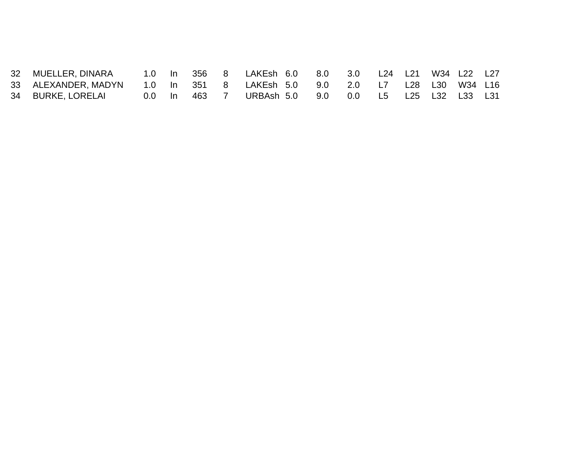| 32 MUELLER, DINARA                                                     |  |              | 1.0 In 356 8 LAKEsh 6.0 8.0 3.0 L24 L21 W34 L22 L27 |  |  |  |  |
|------------------------------------------------------------------------|--|--------------|-----------------------------------------------------|--|--|--|--|
| 33 ALEXANDER, MADYN 1.0 In 351 8 LAKEsh 5.0 9.0 2.0 L7 L28 L30 W34 L16 |  |              |                                                     |  |  |  |  |
| 34 BURKE, LORELAI                                                      |  | 0.0 ln 463 7 | URBAsh 5.0  9.0  0.0  L5  L25  L32  L33  L31        |  |  |  |  |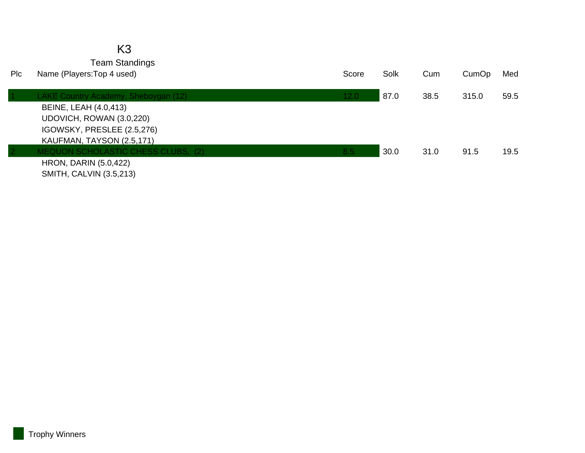|      | K3                                   |       |      |      |       |      |
|------|--------------------------------------|-------|------|------|-------|------|
|      | <b>Team Standings</b>                |       |      |      |       |      |
| Plc. | Name (Players: Top 4 used)           | Score | Solk | Cum  | CumOp | Med  |
|      | LAKE Country Academy, Sheboygan (12) | 12.0  | 87.0 | 38.5 | 315.0 | 59.5 |
|      | <b>BEINE, LEAH (4.0,413)</b>         |       |      |      |       |      |
|      | UDOVICH, ROWAN (3.0,220)             |       |      |      |       |      |
|      | IGOWSKY, PRESLEE (2.5,276)           |       |      |      |       |      |
|      | KAUFMAN, TAYSON (2.5,171)            |       |      |      |       |      |
|      | MEQUON SCHOLASTIC CHESS CLUBS, (2)   | 8.5   | 30.0 | 31.0 | 91.5  | 19.5 |
|      | <b>HRON, DARIN (5.0,422)</b>         |       |      |      |       |      |
|      | <b>SMITH, CALVIN (3.5,213)</b>       |       |      |      |       |      |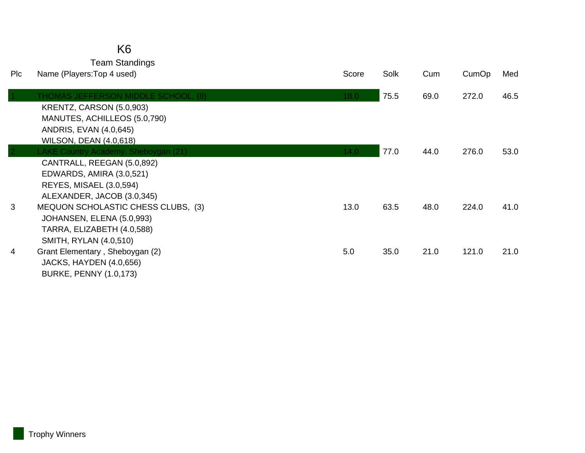### K6

Team Standings

| Plc | Name (Players: Top 4 used)                                                                                                                                 | Score | Solk | Cum  | CumOp | Med  |
|-----|------------------------------------------------------------------------------------------------------------------------------------------------------------|-------|------|------|-------|------|
|     | THOMAS JEFFERSON MIDDLE SCHOOL, (8)<br>KRENTZ, CARSON (5.0,903)<br>MANUTES, ACHILLEOS (5.0,790)<br>ANDRIS, EVAN (4.0,645)<br><b>WILSON, DEAN (4.0,618)</b> | 18.0  | 75.5 | 69.0 | 272.0 | 46.5 |
|     | LAKE Country Academy, Sheboygan (21)                                                                                                                       | 14.0  | 77.0 | 44.0 | 276.0 | 53.0 |
|     | CANTRALL, REEGAN (5.0,892)<br>EDWARDS, AMIRA (3.0,521)<br><b>REYES, MISAEL (3.0,594)</b><br>ALEXANDER, JACOB (3.0,345)                                     |       |      |      |       |      |
| 3   | MEQUON SCHOLASTIC CHESS CLUBS, (3)<br>JOHANSEN, ELENA (5.0,993)<br>TARRA, ELIZABETH (4.0,588)<br>SMITH, RYLAN (4.0,510)                                    | 13.0  | 63.5 | 48.0 | 224.0 | 41.0 |
| 4   | Grant Elementary, Sheboygan (2)<br>JACKS, HAYDEN (4.0,656)<br><b>BURKE, PENNY (1.0,173)</b>                                                                | 5.0   | 35.0 | 21.0 | 121.0 | 21.0 |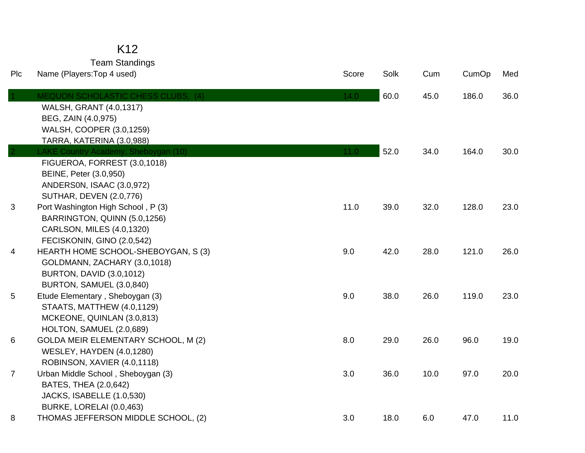## K12

Team Standings

| Plc | Name (Players: Top 4 used)                          | Score | Solk | Cum  | CumOp | Med  |
|-----|-----------------------------------------------------|-------|------|------|-------|------|
|     | <b>MEQUON SCHOLASTIC CHESS CLUBS. (4)</b>           | 14.0  | 60.0 | 45.0 | 186.0 | 36.0 |
|     | <b>WALSH, GRANT (4.0,1317)</b>                      |       |      |      |       |      |
|     | BEG, ZAIN (4.0,975)                                 |       |      |      |       |      |
|     | WALSH, COOPER (3.0,1259)                            |       |      |      |       |      |
|     | TARRA, KATERINA (3.0,988)                           |       |      |      |       |      |
|     | LAKE Country Academy, Sheboygan (10)                | 11.0  | 52.0 | 34.0 | 164.0 | 30.0 |
|     | FIGUEROA, FORREST (3.0,1018)                        |       |      |      |       |      |
|     | BEINE, Peter (3.0,950)<br>ANDERSON, ISAAC (3.0,972) |       |      |      |       |      |
|     | <b>SUTHAR, DEVEN (2.0,776)</b>                      |       |      |      |       |      |
| 3   | Port Washington High School, P (3)                  | 11.0  | 39.0 | 32.0 | 128.0 | 23.0 |
|     | BARRINGTON, QUINN (5.0,1256)                        |       |      |      |       |      |
|     | CARLSON, MILES (4.0,1320)                           |       |      |      |       |      |
|     | FECISKONIN, GINO (2.0,542)                          |       |      |      |       |      |
| 4   | HEARTH HOME SCHOOL-SHEBOYGAN, S (3)                 | 9.0   | 42.0 | 28.0 | 121.0 | 26.0 |
|     | GOLDMANN, ZACHARY (3.0,1018)                        |       |      |      |       |      |
|     | <b>BURTON, DAVID (3.0,1012)</b>                     |       |      |      |       |      |
|     | BURTON, SAMUEL (3.0,840)                            |       |      |      |       |      |
| 5   | Etude Elementary, Sheboygan (3)                     | 9.0   | 38.0 | 26.0 | 119.0 | 23.0 |
|     | STAATS, MATTHEW (4.0,1129)                          |       |      |      |       |      |
|     | MCKEONE, QUINLAN (3.0,813)                          |       |      |      |       |      |
|     | HOLTON, SAMUEL (2.0,689)                            |       |      |      |       |      |
| 6   | <b>GOLDA MEIR ELEMENTARY SCHOOL, M (2)</b>          | 8.0   | 29.0 | 26.0 | 96.0  | 19.0 |
|     | <b>WESLEY, HAYDEN (4.0,1280)</b>                    |       |      |      |       |      |
|     | ROBINSON, XAVIER (4.0,1118)                         |       |      |      |       |      |
| 7   | Urban Middle School, Sheboygan (3)                  | 3.0   | 36.0 | 10.0 | 97.0  | 20.0 |
|     | BATES, THEA (2.0,642)                               |       |      |      |       |      |
|     | JACKS, ISABELLE (1.0,530)                           |       |      |      |       |      |
|     | BURKE, LORELAI (0.0,463)                            |       |      |      |       |      |
| 8   | THOMAS JEFFERSON MIDDLE SCHOOL, (2)                 | 3.0   | 18.0 | 6.0  | 47.0  | 11.0 |